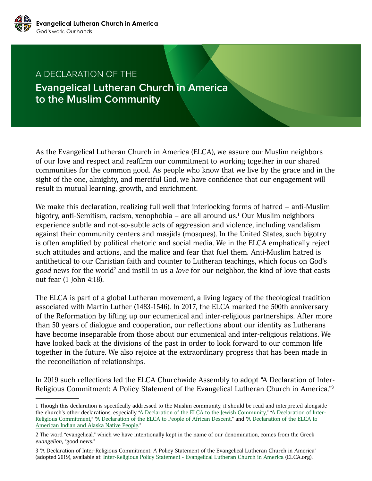

## A DECLARATION OF THE **Evangelical Lutheran Church in America to the Muslim Community**

As the Evangelical Lutheran Church in America (ELCA), we assure our Muslim neighbors of our love and respect and reaffirm our commitment to working together in our shared communities for the common good. As people who know that we live by the grace and in the sight of the one, almighty, and merciful God, we have confidence that our engagement will result in mutual learning, growth, and enrichment.

We make this declaration, realizing full well that interlocking forms of hatred – anti-Muslim bigotry, anti-Semitism, racism, xenophobia – are all around us.<sup>1</sup> Our Muslim neighbors experience subtle and not-so-subtle acts of aggression and violence, including vandalism against their community centers and masjids (mosques). In the United States, such bigotry is often amplified by political rhetoric and social media. We in the ELCA emphatically reject such attitudes and actions, and the malice and fear that fuel them. Anti-Muslim hatred is antithetical to our Christian faith and counter to Lutheran teachings, which focus on God's good news for the world<sup>2</sup> and instill in us a *love* for our neighbor, the kind of love that casts out fear (1 John 4:18).

The ELCA is part of a global Lutheran movement, a living legacy of the theological tradition associated with Martin Luther (1483-1546). In 2017, the ELCA marked the 500th anniversary of the Reformation by lifting up our ecumenical and inter-religious partnerships. After more than 50 years of dialogue and cooperation, our reflections about our identity as Lutherans have become inseparable from those about our ecumenical and inter-religious relations. We have looked back at the divisions of the past in order to look forward to our common life together in the future. We also rejoice at the extraordinary progress that has been made in the reconciliation of relationships.

In 2019 such reflections led the ELCA Churchwide Assembly to adopt "A Declaration of Inter-Religious Commitment: A Policy Statement of the Evangelical Lutheran Church in America."3

<sup>1</sup> Though this declaration is specifically addressed to the Muslim community, it should be read and interpreted alongside the church's other declarations, especially ["A Declaration of the ELCA to the Jewish Community](http://download.elca.org/ELCA%20Resource%20Repository/Declaration_Of_The_ELCA_To_The_Jewish_Community.pdf?_ga=2.192070890.1941944504.1647455266-1800216492.1645134226)," ["A Declaration of Inter-](https://download.elca.org/ELCA%20Resource%20Repository/Inter-Religious_Policy_Statement.pdf?_ga=2.226617693.1941944504.1647455266-1800216492.1645134226)[Religious Commitment,](https://download.elca.org/ELCA%20Resource%20Repository/Inter-Religious_Policy_Statement.pdf?_ga=2.226617693.1941944504.1647455266-1800216492.1645134226)" ["A Declaration of the ELCA to People of African Descent,](https://download.elca.org/ELCA%20Resource%20Repository/Slavery_Apology_Explanation.pdf?_ga=2.226617693.1941944504.1647455266-1800216492.1645134226)" and "A Declaration of the ELCA to [American Indian and Alaska Native People.](https://download.elca.org/ELCA%20Resource%20Repository/Declaration_to_American_Indian_Alaska_Native.pdf?_ga=2.180512359.1941944504.1647455266-1800216492.1645134226)"

<sup>2</sup> The word "evangelical," which we have intentionally kept in the name of our denomination, comes from the Greek *euangelion*, "good news."

<sup>3 &</sup>quot;A Declaration of Inter-Religious Commitment: A Policy Statement of the Evangelical Lutheran Church in America" (adopted 2019), available at: [Inter-Religious Policy Statement - Evangelical Lutheran Church in America](https://www.elca.org/Faith/Ecumenical-and-Inter-Religious-Relations/Inter-Religious-Relations/Policy-Statement) (ELCA.org).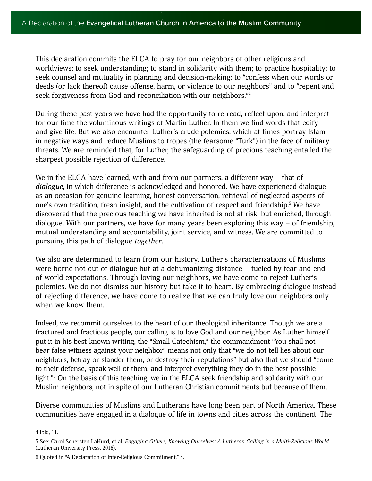This declaration commits the ELCA to pray for our neighbors of other religions and worldviews; to seek understanding; to stand in solidarity with them; to practice hospitality; to seek counsel and mutuality in planning and decision-making; to "confess when our words or deeds (or lack thereof) cause offense, harm, or violence to our neighbors" and to "repent and seek forgiveness from God and reconciliation with our neighbors."4

During these past years we have had the opportunity to re-read, reflect upon, and interpret for our time the voluminous writings of Martin Luther. In them we find words that edify and give life. But we also encounter Luther's crude polemics, which at times portray Islam in negative ways and reduce Muslims to tropes (the fearsome "Turk") in the face of military threats. We are reminded that, for Luther, the safeguarding of precious teaching entailed the sharpest possible rejection of difference.

We in the ELCA have learned, with and from our partners, a different way – that of *dialogue*, in which difference is acknowledged and honored. We have experienced dialogue as an occasion for genuine learning, honest conversation, retrieval of neglected aspects of one's own tradition, fresh insight, and the cultivation of respect and friendship.<sup>5</sup> We have discovered that the precious teaching we have inherited is not at risk, but enriched, through dialogue. With our partners, we have for many years been exploring this way – of friendship, mutual understanding and accountability, joint service, and witness. We are committed to pursuing this path of dialogue *together*.

We also are determined to learn from our history. Luther's characterizations of Muslims were borne not out of dialogue but at a dehumanizing distance – fueled by fear and endof-world expectations. Through loving our neighbors, we have come to reject Luther's polemics. We do not dismiss our history but take it to heart. By embracing dialogue instead of rejecting difference, we have come to realize that we can truly love our neighbors only when we know them.

Indeed, we recommit ourselves to the heart of our theological inheritance. Though we are a fractured and fractious people, our calling is to love God and our neighbor. As Luther himself put it in his best-known writing, the "Small Catechism," the commandment "You shall not bear false witness against your neighbor" means not only that "we do not tell lies about our neighbors, betray or slander them, or destroy their reputations" but also that we should "come to their defense, speak well of them, and interpret everything they do in the best possible light."6 On the basis of this teaching, we in the ELCA seek friendship and solidarity with our Muslim neighbors, not in spite of our Lutheran Christian commitments but because of them.

Diverse communities of Muslims and Lutherans have long been part of North America. These communities have engaged in a dialogue of life in towns and cities across the continent. The

<sup>4</sup> Ibid, 11.

<sup>5</sup> See: Carol Schersten LaHurd, et al, *Engaging Others, Knowing Ourselves: A Lutheran Calling in a Multi-Religious World* (Lutheran University Press, 2016).

<sup>6</sup> Quoted in "A Declaration of Inter-Religious Commitment," 4.